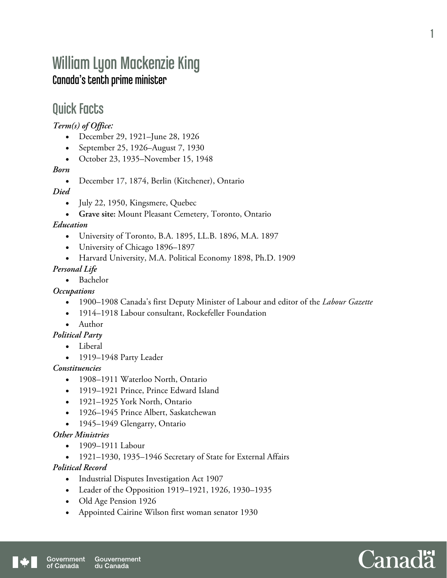# William Lyon Mackenzie King Canada's tenth prime minister

### Quick Facts

### *Term(s) of Office:*

- December 29, 1921–June 28, 1926
- September 25, 1926–August 7, 1930
- October 23, 1935–November 15, 1948

#### *Born*

December 17, 1874, Berlin (Kitchener), Ontario

#### *Died*

- July 22, 1950, Kingsmere, Quebec
- **Grave site:** Mount Pleasant Cemetery, Toronto, Ontario

#### *Education*

- University of Toronto, B.A. 1895, LL.B. 1896, M.A. 1897
- University of Chicago 1896–1897
- Harvard University, M.A. Political Economy 1898, Ph.D. 1909

#### *Personal Life*

Bachelor

#### *Occupations*

- 1900–1908 Canada's first Deputy Minister of Labour and editor of the *Labour Gazette*
- 1914–1918 Labour consultant, Rockefeller Foundation
- Author
- *Political Party* 
	- Liberal
	- 1919–1948 Party Leader

#### *Constituencies*

- 1908–1911 Waterloo North, Ontario
- 1919–1921 Prince, Prince Edward Island
- 1921–1925 York North, Ontario
- 1926–1945 Prince Albert, Saskatchewan
- 1945–1949 Glengarry, Ontario

#### *Other Ministries*

- 1909–1911 Labour
- 1921–1930, 1935–1946 Secretary of State for External Affairs

#### *Political Record*

- Industrial Disputes Investigation Act 1907
- Leader of the Opposition 1919–1921, 1926, 1930–1935
- Old Age Pension 1926
- Appointed Cairine Wilson first woman senator 1930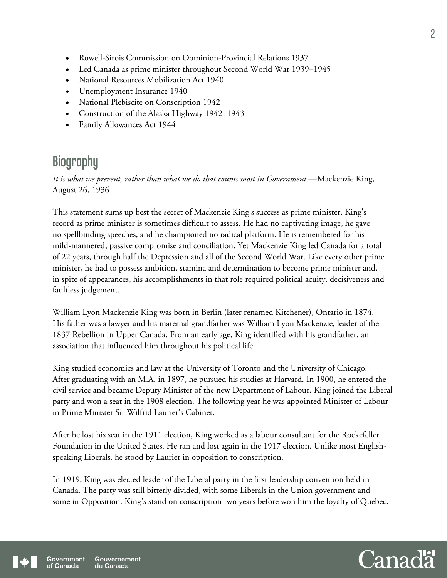- Rowell-Sirois Commission on Dominion-Provincial Relations 1937
- Led Canada as prime minister throughout Second World War 1939–1945
- National Resources Mobilization Act 1940
- Unemployment Insurance 1940
- National Plebiscite on Conscription 1942
- Construction of the Alaska Highway 1942–1943
- Family Allowances Act 1944

## **Biography**

*It is what we prevent, rather than what we do that counts most in Government.*—Mackenzie King, August 26, 1936

This statement sums up best the secret of Mackenzie King's success as prime minister. King's record as prime minister is sometimes difficult to assess. He had no captivating image, he gave no spellbinding speeches, and he championed no radical platform. He is remembered for his mild-mannered, passive compromise and conciliation. Yet Mackenzie King led Canada for a total of 22 years, through half the Depression and all of the Second World War. Like every other prime minister, he had to possess ambition, stamina and determination to become prime minister and, in spite of appearances, his accomplishments in that role required political acuity, decisiveness and faultless judgement.

William Lyon Mackenzie King was born in Berlin (later renamed Kitchener), Ontario in 1874. His father was a lawyer and his maternal grandfather was William Lyon Mackenzie, leader of the 1837 Rebellion in Upper Canada. From an early age, King identified with his grandfather, an association that influenced him throughout his political life.

King studied economics and law at the University of Toronto and the University of Chicago. After graduating with an M.A. in 1897, he pursued his studies at Harvard. In 1900, he entered the civil service and became Deputy Minister of the new Department of Labour. King joined the Liberal party and won a seat in the 1908 election. The following year he was appointed Minister of Labour in Prime Minister Sir Wilfrid Laurier's Cabinet.

After he lost his seat in the 1911 election, King worked as a labour consultant for the Rockefeller Foundation in the United States. He ran and lost again in the 1917 election. Unlike most Englishspeaking Liberals, he stood by Laurier in opposition to conscription.

In 1919, King was elected leader of the Liberal party in the first leadership convention held in Canada. The party was still bitterly divided, with some Liberals in the Union government and some in Opposition. King's stand on conscription two years before won him the loyalty of Quebec.

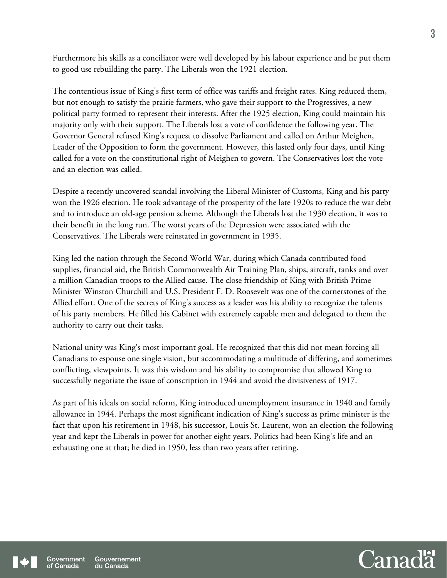Furthermore his skills as a conciliator were well developed by his labour experience and he put them to good use rebuilding the party. The Liberals won the 1921 election.

The contentious issue of King's first term of office was tariffs and freight rates. King reduced them, but not enough to satisfy the prairie farmers, who gave their support to the Progressives, a new political party formed to represent their interests. After the 1925 election, King could maintain his majority only with their support. The Liberals lost a vote of confidence the following year. The Governor General refused King's request to dissolve Parliament and called on Arthur Meighen, Leader of the Opposition to form the government. However, this lasted only four days, until King called for a vote on the constitutional right of Meighen to govern. The Conservatives lost the vote and an election was called.

Despite a recently uncovered scandal involving the Liberal Minister of Customs, King and his party won the 1926 election. He took advantage of the prosperity of the late 1920s to reduce the war debt and to introduce an old-age pension scheme. Although the Liberals lost the 1930 election, it was to their benefit in the long run. The worst years of the Depression were associated with the Conservatives. The Liberals were reinstated in government in 1935.

King led the nation through the Second World War, during which Canada contributed food supplies, financial aid, the British Commonwealth Air Training Plan, ships, aircraft, tanks and over a million Canadian troops to the Allied cause. The close friendship of King with British Prime Minister Winston Churchill and U.S. President F. D. Roosevelt was one of the cornerstones of the Allied effort. One of the secrets of King's success as a leader was his ability to recognize the talents of his party members. He filled his Cabinet with extremely capable men and delegated to them the authority to carry out their tasks.

National unity was King's most important goal. He recognized that this did not mean forcing all Canadians to espouse one single vision, but accommodating a multitude of differing, and sometimes conflicting, viewpoints. It was this wisdom and his ability to compromise that allowed King to successfully negotiate the issue of conscription in 1944 and avoid the divisiveness of 1917.

As part of his ideals on social reform, King introduced unemployment insurance in 1940 and family allowance in 1944. Perhaps the most significant indication of King's success as prime minister is the fact that upon his retirement in 1948, his successor, Louis St. Laurent, won an election the following year and kept the Liberals in power for another eight years. Politics had been King's life and an exhausting one at that; he died in 1950, less than two years after retiring.



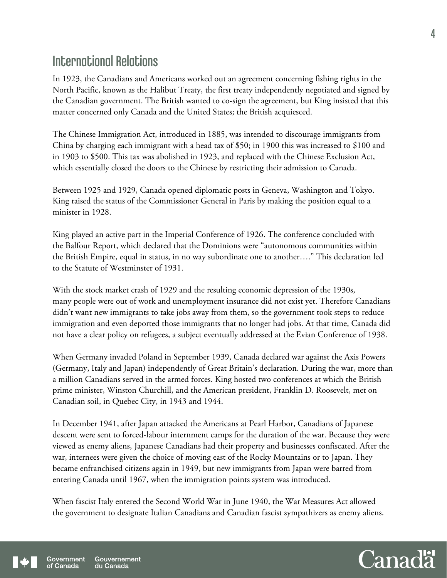### International Relations

In 1923, the Canadians and Americans worked out an agreement concerning fishing rights in the North Pacific, known as the Halibut Treaty, the first treaty independently negotiated and signed by the Canadian government. The British wanted to co-sign the agreement, but King insisted that this matter concerned only Canada and the United States; the British acquiesced.

The Chinese Immigration Act, introduced in 1885, was intended to discourage immigrants from China by charging each immigrant with a head tax of \$50; in 1900 this was increased to \$100 and in 1903 to \$500. This tax was abolished in 1923, and replaced with the Chinese Exclusion Act, which essentially closed the doors to the Chinese by restricting their admission to Canada.

Between 1925 and 1929, Canada opened diplomatic posts in Geneva, Washington and Tokyo. King raised the status of the Commissioner General in Paris by making the position equal to a minister in 1928.

King played an active part in the Imperial Conference of 1926. The conference concluded with the Balfour Report, which declared that the Dominions were "autonomous communities within the British Empire, equal in status, in no way subordinate one to another…." This declaration led to the Statute of Westminster of 1931.

With the stock market crash of 1929 and the resulting economic depression of the 1930s, many people were out of work and unemployment insurance did not exist yet. Therefore Canadians didn't want new immigrants to take jobs away from them, so the government took steps to reduce immigration and even deported those immigrants that no longer had jobs. At that time, Canada did not have a clear policy on refugees, a subject eventually addressed at the Evian Conference of 1938.

When Germany invaded Poland in September 1939, Canada declared war against the Axis Powers (Germany, Italy and Japan) independently of Great Britain's declaration. During the war, more than a million Canadians served in the armed forces. King hosted two conferences at which the British prime minister, Winston Churchill, and the American president, Franklin D. Roosevelt, met on Canadian soil, in Quebec City, in 1943 and 1944.

In December 1941, after Japan attacked the Americans at Pearl Harbor, Canadians of Japanese descent were sent to forced-labour internment camps for the duration of the war. Because they were viewed as enemy aliens, Japanese Canadians had their property and businesses confiscated. After the war, internees were given the choice of moving east of the Rocky Mountains or to Japan. They became enfranchised citizens again in 1949, but new immigrants from Japan were barred from entering Canada until 1967, when the immigration points system was introduced.

When fascist Italy entered the Second World War in June 1940, the War Measures Act allowed the government to designate Italian Canadians and Canadian fascist sympathizers as enemy aliens.

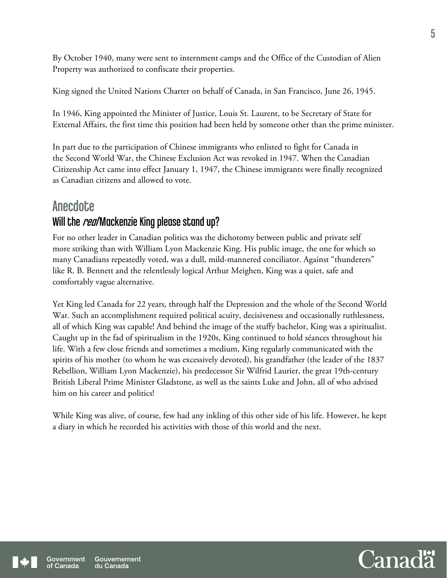By October 1940, many were sent to internment camps and the Office of the Custodian of Alien Property was authorized to confiscate their properties.

King signed the United Nations Charter on behalf of Canada, in San Francisco, June 26, 1945.

In 1946, King appointed the Minister of Justice, Louis St. Laurent, to be Secretary of State for External Affairs, the first time this position had been held by someone other than the prime minister.

In part due to the participation of Chinese immigrants who enlisted to fight for Canada in the Second World War, the Chinese Exclusion Act was revoked in 1947. When the Canadian Citizenship Act came into effect January 1, 1947, the Chinese immigrants were finally recognized as Canadian citizens and allowed to vote.

### **Anecdote**

### Will the real Mackenzie King please stand up?

For no other leader in Canadian politics was the dichotomy between public and private self more striking than with William Lyon Mackenzie King. His public image, the one for which so many Canadians repeatedly voted, was a dull, mild-mannered conciliator. Against "thunderers" like R. B. Bennett and the relentlessly logical Arthur Meighen, King was a quiet, safe and comfortably vague alternative.

Yet King led Canada for 22 years, through half the Depression and the whole of the Second World War. Such an accomplishment required political acuity, decisiveness and occasionally ruthlessness, all of which King was capable! And behind the image of the stuffy bachelor, King was a spiritualist. Caught up in the fad of spiritualism in the 1920s, King continued to hold séances throughout his life. With a few close friends and sometimes a medium, King regularly communicated with the spirits of his mother (to whom he was excessively devoted), his grandfather (the leader of the 1837 Rebellion, William Lyon Mackenzie), his predecessor Sir Wilfrid Laurier, the great 19th-century British Liberal Prime Minister Gladstone, as well as the saints Luke and John, all of who advised him on his career and politics!

While King was alive, of course, few had any inkling of this other side of his life. However, he kept a diary in which he recorded his activities with those of this world and the next.



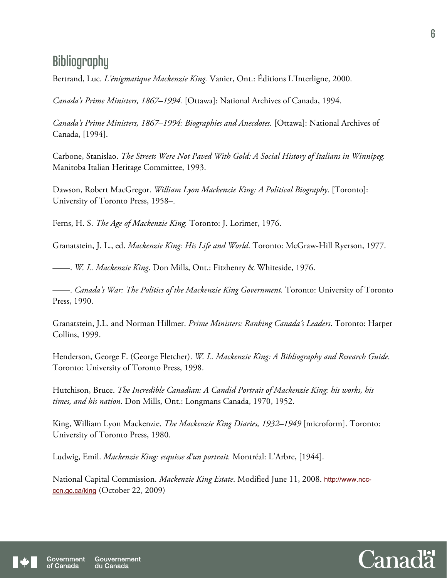### **Bibliography**

Bertrand, Luc. *L'énigmatique Mackenzie King.* Vanier, Ont.: Éditions L'Interligne, 2000.

*Canada's Prime Ministers, 1867–1994.* [Ottawa]: National Archives of Canada, 1994.

*Canada's Prime Ministers, 1867–1994: Biographies and Anecdotes.* [Ottawa]: National Archives of Canada, [1994].

Carbone, Stanislao. *The Streets Were Not Paved With Gold: A Social History of Italians in Winnipeg.*  Manitoba Italian Heritage Committee, 1993.

Dawson, Robert MacGregor. *William Lyon Mackenzie King: A Political Biography*. [Toronto]: University of Toronto Press, 1958–.

Ferns, H. S. *The Age of Mackenzie King.* Toronto: J. Lorimer, 1976.

Granatstein, J. L., ed. *Mackenzie King: His Life and World*. Toronto: McGraw-Hill Ryerson, 1977.

——. *W. L. Mackenzie King*. Don Mills, Ont.: Fitzhenry & Whiteside, 1976.

——. *Canada's War: The Politics of the Mackenzie King Government.* Toronto: University of Toronto Press, 1990.

Granatstein, J.L. and Norman Hillmer. *Prime Ministers: Ranking Canada's Leaders*. Toronto: Harper Collins, 1999.

Henderson, George F. (George Fletcher). *W. L. Mackenzie King: A Bibliography and Research Guide.* Toronto: University of Toronto Press, 1998.

Hutchison, Bruce. *The Incredible Canadian: A Candid Portrait of Mackenzie King: his works, his times, and his nation*. Don Mills, Ont.: Longmans Canada, 1970, 1952.

King, William Lyon Mackenzie. *The Mackenzie King Diaries, 1932–1949* [microform]. Toronto: University of Toronto Press, 1980.

Ludwig, Emil. *Mackenzie King: esquisse d'un portrait.* Montréal: L'Arbre, [1944].

National Capital Commission. *Mackenzie King Estate*. Modified June 11, 2008. http://www.nccccn.gc.ca/king (October 22, 2009)